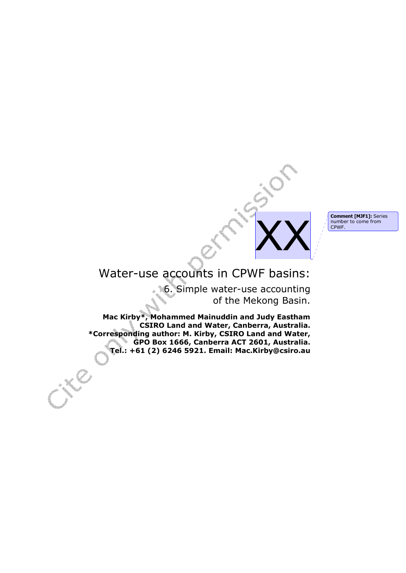**Comment [MJF1]:** Series number to come from CPWF.

# Water-use accounts in CPWF basins:

6. Simple water-use accounting of the Mekong Basin.

XX

**Mac Kirby\*, Mohammed Mainuddin and Judy Eastham CSIRO Land and Water, Canberra, Australia. \*Corresponding author: M. Kirby, CSIRO Land and Water, GPO Box 1666, Canberra ACT 2601, Australia. Tel.: +61 (2) 6246 5921. Email: Mac.Kirby@csiro.au**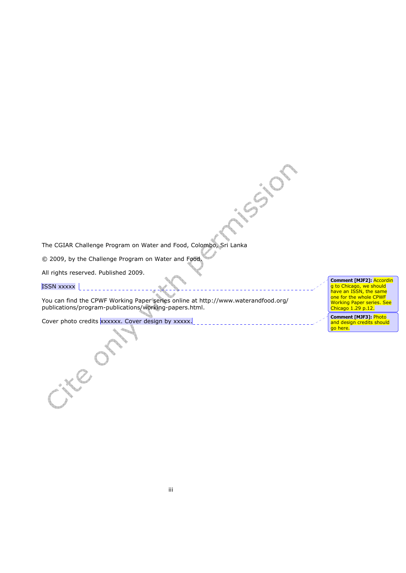The CGIAR Challenge Program on Water and Food, Colombo, Sri Lanka

© 2009, by the Challenge Program on Water and Food.

All rights reserved. Published 2009.

ISSN xxxxx |

cied

You can find the CPWF Working Paper series online at http://www.waterandfood.org/ publications/program-publications/working-papers.html.

ission

Cover photo credits xxxxxx. Cover design by xxxxx.

**Comment [MJF2]:** Accordin g to Chicago, we should have an ISSN, the same one for the whole CPWF Working Paper series. See Chicago 1.29 p.12.

**Comment [MJF3]:** Photo and design credits should go here.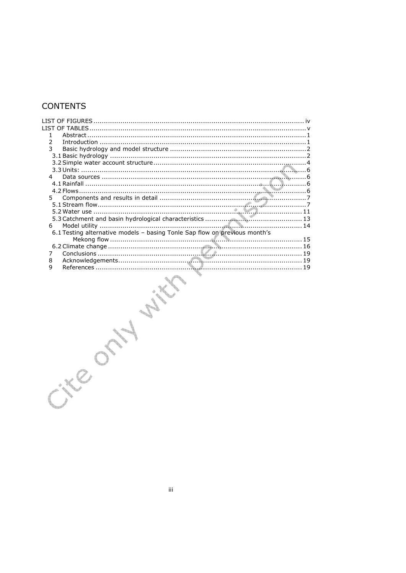# **CONTENTS**

| . . iv                                                                     |
|----------------------------------------------------------------------------|
|                                                                            |
| 1.                                                                         |
| 2                                                                          |
| 3                                                                          |
|                                                                            |
|                                                                            |
|                                                                            |
| 4                                                                          |
|                                                                            |
| 5                                                                          |
|                                                                            |
|                                                                            |
|                                                                            |
| 6                                                                          |
| 6.1 Testing alternative models - basing Tonle Sap flow on previous month's |
|                                                                            |
|                                                                            |
| 7                                                                          |
| 8                                                                          |
| 9                                                                          |
|                                                                            |
|                                                                            |
|                                                                            |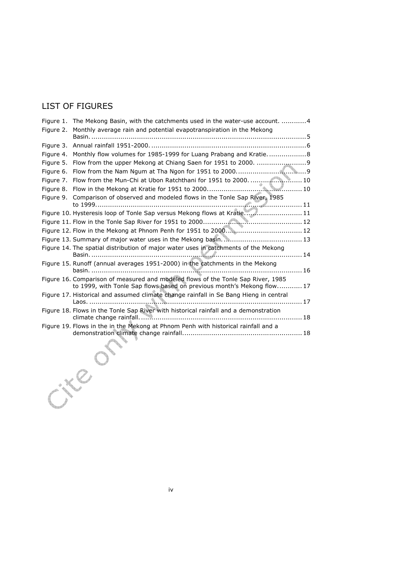# LIST OF FIGURES

|           | Figure 1. The Mekong Basin, with the catchments used in the water-use account.  4                                                                          |  |
|-----------|------------------------------------------------------------------------------------------------------------------------------------------------------------|--|
| Figure 2. | Monthly average rain and potential evapotranspiration in the Mekong                                                                                        |  |
|           |                                                                                                                                                            |  |
|           |                                                                                                                                                            |  |
|           | Figure 4. Monthly flow volumes for 1985-1999 for Luang Prabang and Kratie8                                                                                 |  |
| Figure 5. |                                                                                                                                                            |  |
|           |                                                                                                                                                            |  |
|           | Figure 7. Flow from the Mun-Chi at Ubon Ratchthani for 1951 to 2000.  10                                                                                   |  |
|           |                                                                                                                                                            |  |
|           | Figure 9. Comparison of observed and modeled flows in the Tonle Sap River, 1985                                                                            |  |
|           |                                                                                                                                                            |  |
|           |                                                                                                                                                            |  |
|           |                                                                                                                                                            |  |
|           |                                                                                                                                                            |  |
|           | Figure 14. The spatial distribution of major water uses in catchments of the Mekong                                                                        |  |
|           |                                                                                                                                                            |  |
|           | Figure 15. Runoff (annual averages 1951-2000) in the catchments in the Mekong                                                                              |  |
|           | Figure 16. Comparison of measured and modeled flows of the Tonle Sap River, 1985<br>to 1999, with Tonle Sap flows based on previous month's Mekong flow 17 |  |
|           | Figure 17. Historical and assumed climate change rainfall in Se Bang Hieng in central                                                                      |  |
|           | Figure 18. Flows in the Tonle Sap River with historical rainfall and a demonstration                                                                       |  |
|           | Figure 19. Flows in the in the Mekong at Phnom Penh with historical rainfall and a                                                                         |  |
|           |                                                                                                                                                            |  |
|           |                                                                                                                                                            |  |
|           |                                                                                                                                                            |  |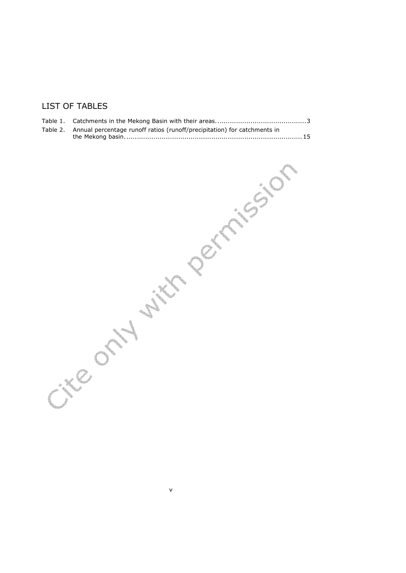# LIST OF TABLES

| Table 2. Annual percentage runoff ratios (runoff/precipitation) for catchments in |  |
|-----------------------------------------------------------------------------------|--|
|                                                                                   |  |

v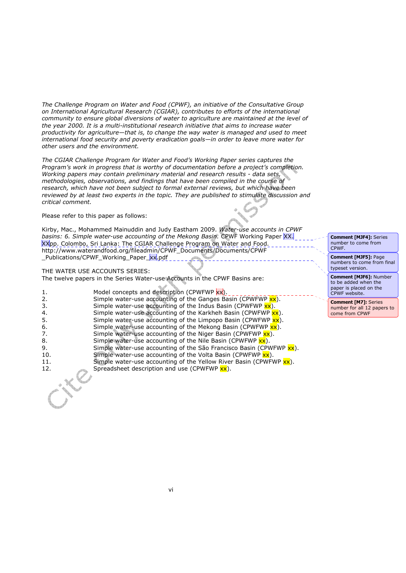*The Challenge Program on Water and Food (CPWF), an initiative of the Consultative Group on International Agricultural Research (CGIAR), contributes to efforts of the international community to ensure global diversions of water to agriculture are maintained at the level of the year 2000. It is a multi-institutional research initiative that aims to increase water productivity for agriculture—that is, to change the way water is managed and used to meet international food security and poverty eradication goals—in order to leave more water for other users and the environment.* 

*The CGIAR Challenge Program for Water and Food's Working Paper series captures the Program's work in progress that is worthy of documentation before a project's completion. Working papers may contain preliminary material and research results - data sets, methodologies, observations, and findings that have been compiled in the course of research, which have not been subject to formal external reviews, but which have been reviewed by at least two experts in the topic. They are published to stimulate discussion and critical comment.* 

Please refer to this paper as follows:

Kirby, Mac., Mohammed Mainuddin and Judy Eastham 2009. *Water-use accounts in CPWF basins: 6. Simple water-use accounting of the Mekong Basin.* CPWF Working Paper XX. XXpp. Colombo, Sri Lanka: The CGIAR Challenge Program on Water and Food. http://www.waterandfood.org/fileadmin/CPWF\_Documents/Documents/CPWF Publications/CPWF Working Paper xx.pdf

#### THE WATER USE ACCOUNTS SERIES:

The twelve papers in the Series Water-use Accounts in the CPWF Basins are:

| 1.  | Model concepts and description (CPWFWP xx).                             |
|-----|-------------------------------------------------------------------------|
| 2.  | Simple water-use accounting of the Ganges Basin (CPWFWP xx).            |
| -3. | Simple water-use accounting of the Indus Basin (CPWFWP $xx$ ).          |
| 4.  | Simple water-use accounting of the Karkheh Basin (CPWFWP xx).           |
| -5. | Simple water-use accounting of the Limpopo Basin (CPWFWP $xx$ ).        |
| 6.  | Simple water-use accounting of the Mekong Basin (CPWFWP xx).            |
| 7.  | Simple water-use accounting of the Niger Basin (CPWFWP $\mathsf{xx}$ ). |
| 8.  | Simple water-use accounting of the Nile Basin (CPWFWP $\mathbf{x}$ ).   |
| 9.  | Simple water-use accounting of the São Francisco Basin (CPWFWP xx).     |
| 10. | Simple water-use accounting of the Volta Basin (CPWFWP $xx$ ).          |
| 11. | Simple water-use accounting of the Yellow River Basin (CPWFWP xx).      |
| 12. | Spreadsheet description and use (CPWFWP xx).                            |
|     |                                                                         |
|     |                                                                         |

**Comment [MJF4]:** Series number to come from CPWF.

**Comment [MJF5]:** Page numbers to come from final typeset version.

**Comment [MJF6]:** Number to be added when the paper is placed on the CPWF website.

**Comment [M7]:** Series number for all 12 papers to come from CPWF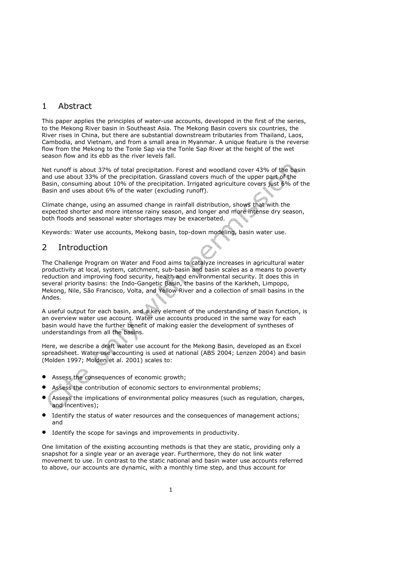# 1 Abstract

This paper applies the principles of water-use accounts, developed in the first of the series, to the Mekong River basin in Southeast Asia. The Mekong Basin covers six countries, the River rises in China, but there are substantial downstream tributaries from Thailand, Laos, Cambodia, and Vietnam, and from a small area in Myanmar. A unique feature is the reverse flow from the Mekong to the Tonle Sap via the Tonle Sap River at the height of the wet season flow and its ebb as the river levels fall.

Net runoff is about 37% of total precipitation. Forest and woodland cover 43% of the basin and use about 33% of the precipitation. Grassland covers much of the upper part of the Basin, consuming about 10% of the precipitation. Irrigated agriculture covers just 6% of the Basin and uses about 6% of the water (excluding runoff).

Climate change, using an assumed change in rainfall distribution, shows that with the expected shorter and more intense rainy season, and longer and more intense dry season, both floods and seasonal water shortages may be exacerbated.

Keywords: Water use accounts, Mekong basin, top-down modeling, basin water use.

## 2 Introduction

The Challenge Program on Water and Food aims to catalyze increases in agricultural water productivity at local, system, catchment, sub-basin and basin scales as a means to poverty reduction and improving food security, health and environmental security. It does this in several priority basins: the Indo-Gangetic Basin, the basins of the Karkheh, Limpopo, Mekong, Nile, São Francisco, Volta, and Yellow River and a collection of small basins in the Andes.

A useful output for each basin, and a key element of the understanding of basin function, is an overview water use account. Water use accounts produced in the same way for each basin would have the further benefit of making easier the development of syntheses of understandings from all the basins.

Here, we describe a draft water use account for the Mekong Basin, developed as an Excel spreadsheet. Water use accounting is used at national (ABS 2004; Lenzen 2004) and basin (Molden 1997; Molden et al. 2001) scales to:

- Assess the consequences of economic growth;
- Assess the contribution of economic sectors to environmental problems;
- Assess the implications of environmental policy measures (such as regulation, charges, and incentives);
- Identify the status of water resources and the consequences of management actions; and
- Identify the scope for savings and improvements in productivity.

One limitation of the existing accounting methods is that they are static, providing only a snapshot for a single year or an average year. Furthermore, they do not link water movement to use. In contrast to the static national and basin water use accounts referred to above, our accounts are dynamic, with a monthly time step, and thus account for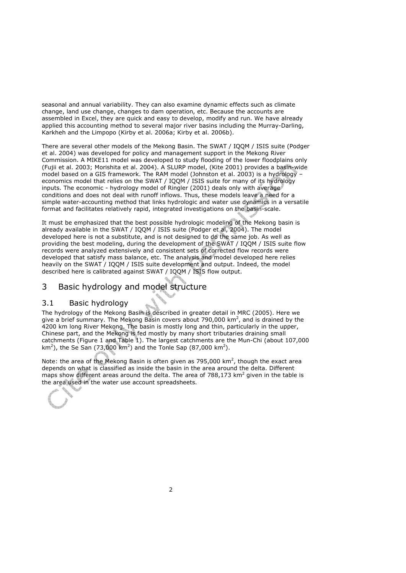seasonal and annual variability. They can also examine dynamic effects such as climate change, land use change, changes to dam operation, etc. Because the accounts are assembled in Excel, they are quick and easy to develop, modify and run. We have already applied this accounting method to several major river basins including the Murray-Darling, Karkheh and the Limpopo (Kirby et al. 2006a; Kirby et al. 2006b).

There are several other models of the Mekong Basin. The SWAT / IQQM / ISIS suite (Podger et al. 2004) was developed for policy and management support in the Mekong River Commission. A MIKE11 model was developed to study flooding of the lower floodplains only (Fujii et al. 2003; Morishita et al. 2004). A SLURP model, (Kite 2001) provides a basin-wide model based on a GIS framework. The RAM model (Johnston et al. 2003) is a hydrology – economics model that relies on the SWAT / IQQM / ISIS suite for many of its hydrology inputs. The economic - hydrology model of Ringler (2001) deals only with average conditions and does not deal with runoff inflows. Thus, these models leave a need for a simple water-accounting method that links hydrologic and water use dynamics in a versatile format and facilitates relatively rapid, integrated investigations on the basin-scale.

It must be emphasized that the best possible hydrologic modeling of the Mekong basin is already available in the SWAT / IQQM / ISIS suite (Podger et al, 2004). The model developed here is not a substitute, and is not designed to do the same job. As well as providing the best modeling, during the development of the SWAT / IQQM / ISIS suite flow records were analyzed extensively and consistent sets of corrected flow records were developed that satisfy mass balance, etc. The analysis and model developed here relies heavily on the SWAT / IQQM / ISIS suite development and output. Indeed, the model described here is calibrated against SWAT / IQQM / ISIS flow output.

## 3 Basic hydrology and model structure

#### 3.1 Basic hydrology

The hydrology of the Mekong Basin is described in greater detail in MRC (2005). Here we give a brief summary. The Mekong Basin covers about 790,000  $km^2$ , and is drained by the 4200 km long River Mekong. The basin is mostly long and thin, particularly in the upper, Chinese part, and the Mekong is fed mostly by many short tributaries draining small catchments (Figure 1 and Table 1). The largest catchments are the Mun-Chi (about 107,000 km<sup>2</sup>), the Se San (73,000 km<sup>2</sup>) and the Tonle Sap (87,000 km<sup>2</sup>).

Note: the area of the Mekong Basin is often given as 795,000 km<sup>2</sup>, though the exact area depends on what is classified as inside the basin in the area around the delta. Different maps show different areas around the delta. The area of 788,173  $km^2$  given in the table is the area used in the water use account spreadsheets.

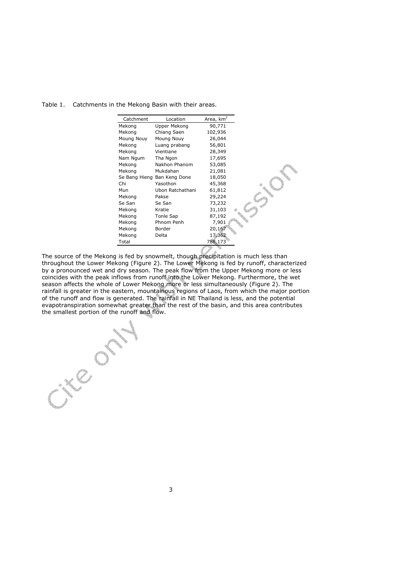Table 1. Catchments in the Mekong Basin with their areas.

| Catchment  | Location                    | Area, $km2$ |
|------------|-----------------------------|-------------|
| Mekong     | Upper Mekong                | 90,771      |
| Mekong     | Chiang Saen                 | 102,936     |
| Moung Nouy | Moung Nouy                  | 26,044      |
| Mekong     | Luang prabang               | 56,801      |
| Mekong     | Vientiane                   | 28,349      |
| Nam Ngum   | Tha Ngon                    | 17,695      |
| Mekong     | Nakhon Phanom               | 53,085      |
| Mekong     | Mukdahan                    | 21,081      |
|            | Se Bang Hieng Ban Keng Done | 18,050      |
| Chi        | Yasothon                    | 45,368      |
| Mun        | Ubon Ratchathani            | 61,812      |
| Mekong     | Pakse                       | 29,224      |
| Se San     | Se San                      | 73,232      |
| Mekong     | Kratie                      | 31,103      |
| Mekong     | Tonle Sap                   | 87,192      |
| Mekong     | Phnom Penh                  | 7,901       |
| Mekong     | Border                      | 20,167      |
| Mekong     | Delta                       | 17,362      |
| Total      |                             | 788,173     |
|            |                             |             |

The source of the Mekong is fed by snowmelt, though precipitation is much less than throughout the Lower Mekong (Figure 2). The Lower Mekong is fed by runoff, characterized by a pronounced wet and dry season. The peak flow from the Upper Mekong more or less coincides with the peak inflows from runoff into the Lower Mekong. Furthermore, the wet season affects the whole of Lower Mekong more or less simultaneously (Figure 2). The rainfall is greater in the eastern, mountainous regions of Laos, from which the major portion of the runoff and flow is generated. The rainfall in NE Thailand is less, and the potential evapotranspiration somewhat greater than the rest of the basin, and this area contributes the smallest portion of the runoff and flow.

LE 023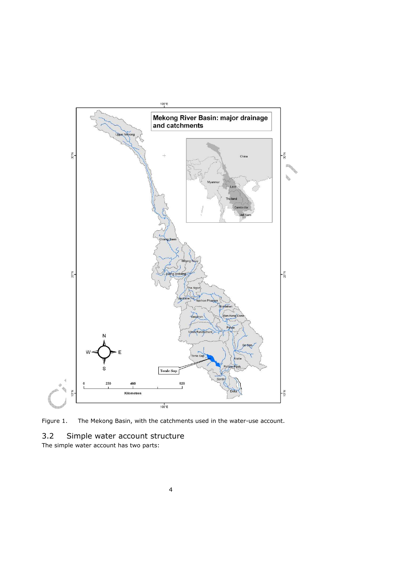

Figure 1. The Mekong Basin, with the catchments used in the water-use account.

# 3.2 Simple water account structure

The simple water account has two parts: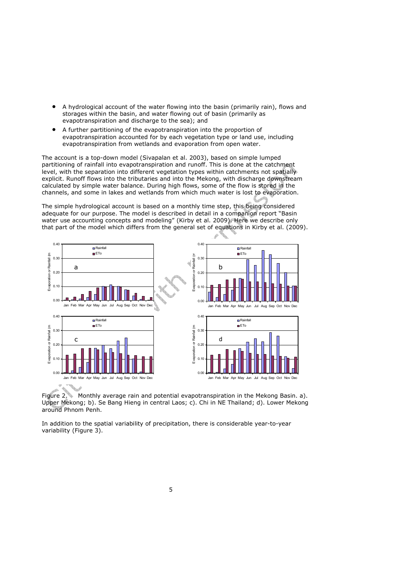- A hydrological account of the water flowing into the basin (primarily rain), flows and storages within the basin, and water flowing out of basin (primarily as evapotranspiration and discharge to the sea); and
- A further partitioning of the evapotranspiration into the proportion of evapotranspiration accounted for by each vegetation type or land use, including evapotranspiration from wetlands and evaporation from open water.

The account is a top-down model (Sivapalan et al. 2003), based on simple lumped partitioning of rainfall into evapotranspiration and runoff. This is done at the catchment level, with the separation into different vegetation types within catchments not spatially explicit. Runoff flows into the tributaries and into the Mekong, with discharge downstream calculated by simple water balance. During high flows, some of the flow is stored in the channels, and some in lakes and wetlands from which much water is lost to evaporation.

The simple hydrological account is based on a monthly time step, this being considered adequate for our purpose. The model is described in detail in a companion report "Basin water use accounting concepts and modeling" (Kirby et al. 2009). Here we describe only that part of the model which differs from the general set of equations in Kirby et al. (2009).



Figure 2. Monthly average rain and potential evapotranspiration in the Mekong Basin. a). Upper Mekong; b). Se Bang Hieng in central Laos; c). Chi in NE Thailand; d). Lower Mekong around Phnom Penh.

In addition to the spatial variability of precipitation, there is considerable year-to-year variability (Figure 3).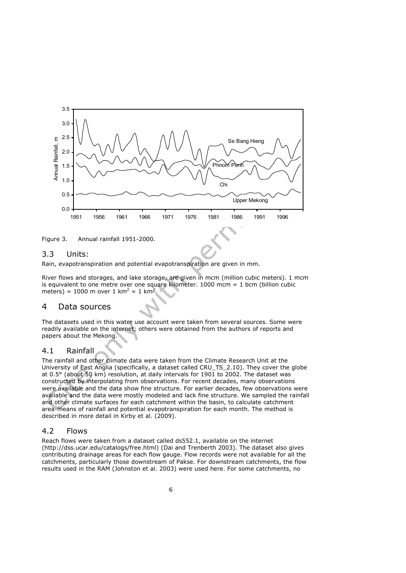

Figure 3. Annual rainfall 1951-2000.

#### 3.3 Units:

Rain, evapotranspiration and potential evapotranspiration are given in mm.

River flows and storages, and lake storage, are given in mcm (million cubic meters). 1 mcm is equivalent to one metre over one square kilometer.  $1000$  mcm =  $1$  bcm (billion cubic meters) = 1000 m over 1 km<sup>2</sup> = 1 km<sup>3</sup>.

## 4 Data sources

The datasets used in this water use account were taken from several sources. Some were readily available on the internet; others were obtained from the authors of reports and papers about the Mekong.

#### 4.1 Rainfall

The rainfall and other climate data were taken from the Climate Research Unit at the University of East Anglia (specifically, a dataset called CRU\_TS\_2.10). They cover the globe at 0.5° (about 50 km) resolution, at daily intervals for 1901 to 2002. The dataset was constructed by interpolating from observations. For recent decades, many observations were available and the data show fine structure. For earlier decades, few observations were available and the data were mostly modeled and lack fine structure. We sampled the rainfall and other climate surfaces for each catchment within the basin, to calculate catchment area-means of rainfall and potential evapotranspiration for each month. The method is described in more detail in Kirby et al. (2009).

#### 4.2 Flows

Reach flows were taken from a dataset called ds552.1, available on the internet (http://dss.ucar.edu/catalogs/free.html) (Dai and Trenberth 2003). The dataset also gives contributing drainage areas for each flow gauge. Flow records were not available for all the catchments, particularly those downstream of Pakse. For downstream catchments, the flow results used in the RAM (Johnston et al. 2003) were used here. For some catchments, no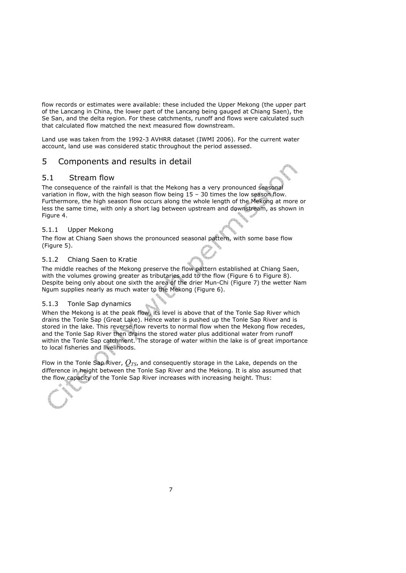flow records or estimates were available: these included the Upper Mekong (the upper part of the Lancang in China, the lower part of the Lancang being gauged at Chiang Saen), the Se San, and the delta region. For these catchments, runoff and flows were calculated such that calculated flow matched the next measured flow downstream.

Land use was taken from the 1992-3 AVHRR dataset (IWMI 2006). For the current water account, land use was considered static throughout the period assessed.

### 5 Components and results in detail

#### 5.1 Stream flow

The consequence of the rainfall is that the Mekong has a very pronounced seasonal variation in flow, with the high season flow being 15 – 30 times the low season flow. Furthermore, the high season flow occurs along the whole length of the Mekong at more or less the same time, with only a short lag between upstream and downstream, as shown in Figure 4.

#### 5.1.1 Upper Mekong

The flow at Chiang Saen shows the pronounced seasonal pattern, with some base flow (Figure 5).

#### 5.1.2 Chiang Saen to Kratie

The middle reaches of the Mekong preserve the flow pattern established at Chiang Saen, with the volumes growing greater as tributaries add to the flow (Figure 6 to Figure 8). Despite being only about one sixth the area of the drier Mun-Chi (Figure 7) the wetter Nam Ngum supplies nearly as much water to the Mekong (Figure 6).

#### 5.1.3 Tonle Sap dynamics

When the Mekong is at the peak flow, its level is above that of the Tonle Sap River which drains the Tonle Sap (Great Lake). Hence water is pushed up the Tonle Sap River and is stored in the lake. This reverse flow reverts to normal flow when the Mekong flow recedes, and the Tonle Sap River then drains the stored water plus additional water from runoff within the Tonle Sap catchment. The storage of water within the lake is of great importance to local fisheries and livelihoods.

Flow in the Tonle Sap River, *QTS*, and consequently storage in the Lake, depends on the difference in height between the Tonle Sap River and the Mekong. It is also assumed that the flow capacity of the Tonle Sap River increases with increasing height. Thus:

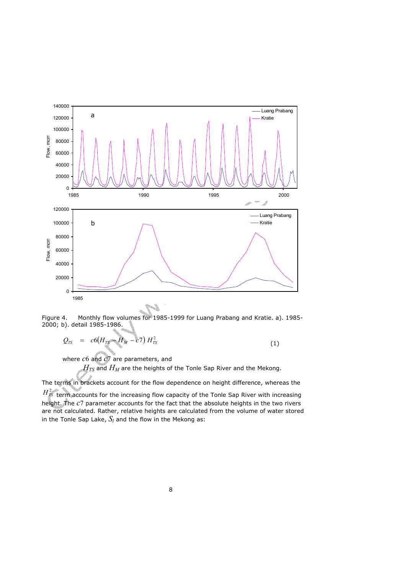

Figure 4. Monthly flow volumes for 1985-1999 for Luang Prabang and Kratie. a). 1985- 2000; b). detail 1985-1986.

$$
Q_{TS} = c6(H_{TS} - H_M - c7) H_{TS}^2
$$
 (1)

where *c*6 and *c*7 are parameters, and

 $H_{TS}$  and  $H_M$  are the heights of the Tonle Sap River and the Mekong.

The terms in brackets account for the flow dependence on height difference, whereas the

 $H<sub>IS</sub><sup>2</sup>$  term accounts for the increasing flow capacity of the Tonle Sap River with increasing height. The *c*7 parameter accounts for the fact that the absolute heights in the two rivers are not calculated. Rather, relative heights are calculated from the volume of water stored in the Tonle Sap Lake,  $S_l$  and the flow in the Mekong as: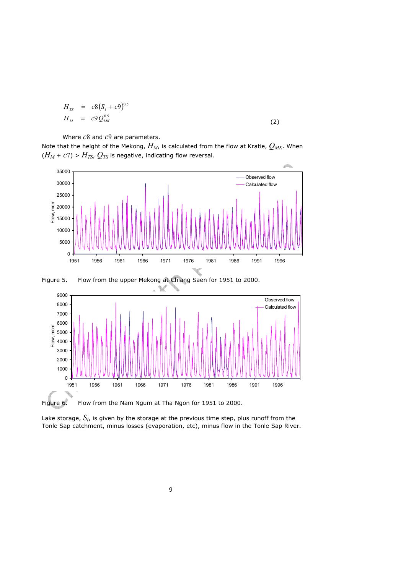$$
H_{TS} = c8(S_t + c9)^{0.5}
$$
  
\n
$$
H_M = c9Q_{MK}^{0.5}
$$
\n(2)

Where *c*8 and *c*9 are parameters.

Note that the height of the Mekong, *HM*, is calculated from the flow at Kratie, *QMK*. When  $(H_M + c7)$  >  $H_{TS}$ ,  $Q_{TS}$  is negative, indicating flow reversal.





Figure 5. Flow from the upper Mekong at Chiang Saen for 1951 to 2000.

Lake storage,  $S_l$ , is given by the storage at the previous time step, plus runoff from the Tonle Sap catchment, minus losses (evaporation, etc), minus flow in the Tonle Sap River.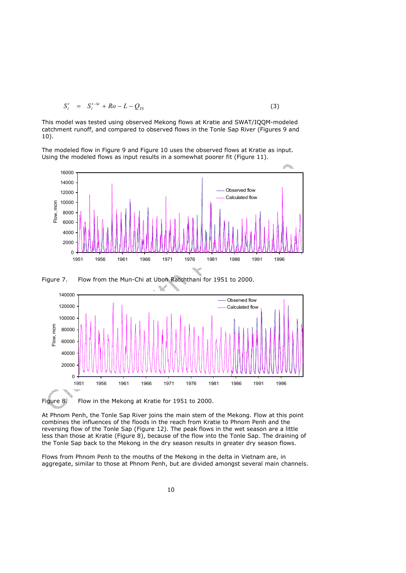$$
S_l^t = S_l^{t-\Delta t} + Ro - L - Q_{TS}
$$
 (3)

This model was tested using observed Mekong flows at Kratie and SWAT/IQQM-modeled catchment runoff, and compared to observed flows in the Tonle Sap River (Figures 9 and 10).

The modeled flow in Figure 9 and Figure 10 uses the observed flows at Kratie as input. Using the modeled flows as input results in a somewhat poorer fit (Figure 11).







At Phnom Penh, the Tonle Sap River joins the main stem of the Mekong. Flow at this point combines the influences of the floods in the reach from Kratie to Phnom Penh and the reversing flow of the Tonle Sap (Figure 12). The peak flows in the wet season are a little less than those at Kratie (Figure 8), because of the flow into the Tonle Sap. The draining of the Tonle Sap back to the Mekong in the dry season results in greater dry season flows.

Flows from Phnom Penh to the mouths of the Mekong in the delta in Vietnam are, in aggregate, similar to those at Phnom Penh, but are divided amongst several main channels.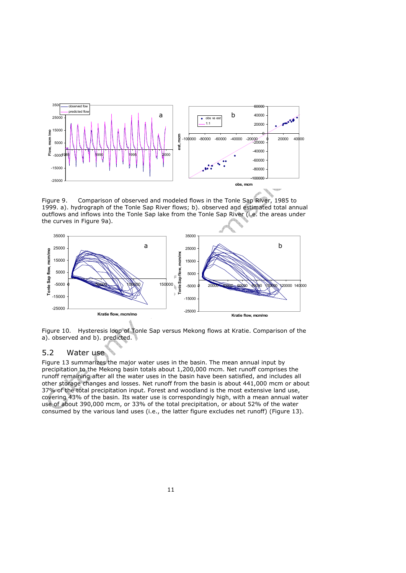

Figure 9. Comparison of observed and modeled flows in the Tonle Sap River, 1985 to 1999. a). hydrograph of the Tonle Sap River flows; b). observed and estimated total annual outflows and inflows into the Tonle Sap lake from the Tonle Sap River (i.e. the areas under the curves in Figure 9a).



Figure 10. Hysteresis loop of Tonle Sap versus Mekong flows at Kratie. Comparison of the a). observed and b). predicted.

#### 5.2 Water use

Figure 13 summarizes the major water uses in the basin. The mean annual input by precipitation to the Mekong basin totals about 1,200,000 mcm. Net runoff comprises the runoff remaining after all the water uses in the basin have been satisfied, and includes all other storage changes and losses. Net runoff from the basin is about 441,000 mcm or about 37% of the total precipitation input. Forest and woodland is the most extensive land use, covering 43% of the basin. Its water use is correspondingly high, with a mean annual water use of about 390,000 mcm, or 33% of the total precipitation, or about 52% of the water consumed by the various land uses (i.e., the latter figure excludes net runoff) (Figure 13).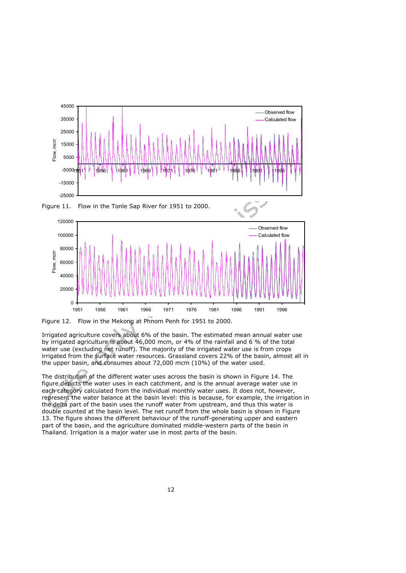

120000



Figure 12. Flow in the Mekong at Phnom Penh for 1951 to 2000.

Irrigated agriculture covers about 6% of the basin. The estimated mean annual water use by irrigated agriculture is about 46,000 mcm, or 4% of the rainfall and 6 % of the total water use (excluding net runoff). The majority of the irrigated water use is from crops irrigated from the surface water resources. Grassland covers 22% of the basin, almost all in the upper basin, and consumes about 72,000 mcm (10%) of the water used.

The distribution of the different water uses across the basin is shown in Figure 14. The figure depicts the water uses in each catchment, and is the annual average water use in each category calculated from the individual monthly water uses. It does not, however, represent the water balance at the basin level: this is because, for example, the irrigation in the delta part of the basin uses the runoff water from upstream, and thus this water is double counted at the basin level. The net runoff from the whole basin is shown in Figure 13. The figure shows the different behaviour of the runoff-generating upper and eastern part of the basin, and the agriculture dominated middle-western parts of the basin in Thailand. Irrigation is a major water use in most parts of the basin.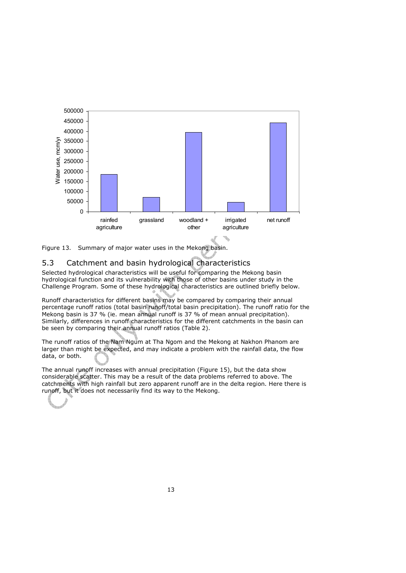



### 5.3 Catchment and basin hydrological characteristics

Selected hydrological characteristics will be useful for comparing the Mekong basin hydrological function and its vulnerability with those of other basins under study in the Challenge Program. Some of these hydrological characteristics are outlined briefly below.

Runoff characteristics for different basins may be compared by comparing their annual percentage runoff ratios (total basin runoff/total basin precipitation). The runoff ratio for the Mekong basin is 37 % (ie. mean annual runoff is 37 % of mean annual precipitation). Similarly, differences in runoff characteristics for the different catchments in the basin can be seen by comparing their annual runoff ratios (Table 2).

The runoff ratios of the Nam Ngum at Tha Ngom and the Mekong at Nakhon Phanom are larger than might be expected, and may indicate a problem with the rainfall data, the flow data, or both.

The annual runoff increases with annual precipitation (Figure 15), but the data show considerable scatter. This may be a result of the data problems referred to above. The catchments with high rainfall but zero apparent runoff are in the delta region. Here there is runoff, but it does not necessarily find its way to the Mekong.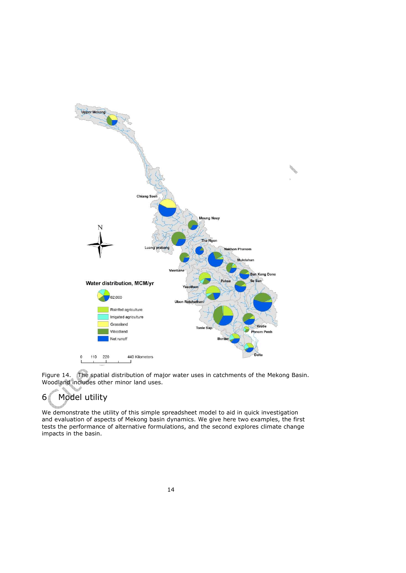

Figure 14. The spatial distribution of major water uses in catchments of the Mekong Basin. Woodland includes other minor land uses.

# 6 Model utility

We demonstrate the utility of this simple spreadsheet model to aid in quick investigation and evaluation of aspects of Mekong basin dynamics. We give here two examples, the first tests the performance of alternative formulations, and the second explores climate change impacts in the basin.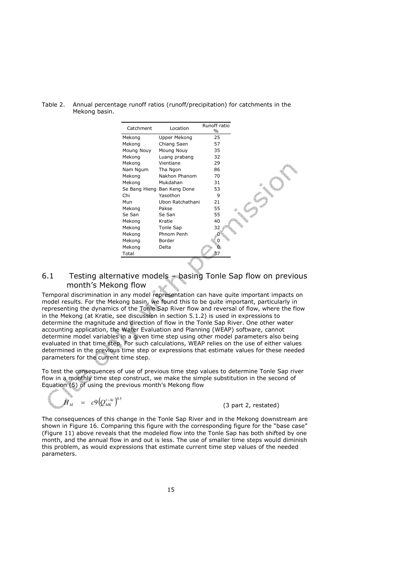Table 2. Annual percentage runoff ratios (runoff/precipitation) for catchments in the Mekong basin.

| Catchment     | Location         | Runoff ratio<br>$\%$ |  |
|---------------|------------------|----------------------|--|
| Mekong        | Upper Mekong     | 25                   |  |
| Mekong        | Chiang Saen      | 57                   |  |
| Moung Nouy    | Moung Nouy       | 35                   |  |
| Mekong        | Luang prabang    | 32                   |  |
| Mekong        | Vientiane        | 29                   |  |
| Nam Ngum      | Tha Ngon         | 86                   |  |
| Mekong        | Nakhon Phanom    | 70                   |  |
| Mekong        | Mukdahan         | 31                   |  |
| Se Bang Hieng | Ban Keng Done    | 53                   |  |
| Chi           | Yasothon         | 9                    |  |
| Mun           | Ubon Ratchathani | 21                   |  |
| Mekong        | Pakse            | 55                   |  |
| Se San        | Se San           | 55                   |  |
| Mekong        | Kratie           | 40                   |  |
| Mekong        | Tonle Sap        | 32                   |  |
| Mekong        | Phnom Penh       |                      |  |
| Mekong        | Border           |                      |  |
| Mekong        | Delta            |                      |  |
| Total         |                  | 37                   |  |
|               |                  |                      |  |

## 6.1 Testing alternative models – basing Tonle Sap flow on previous month's Mekong flow

Temporal discrimination in any model representation can have quite important impacts on model results. For the Mekong basin, we found this to be quite important, particularly in representing the dynamics of the Tonle Sap River flow and reversal of flow, where the flow in the Mekong (at Kratie, see discussion in section 5.1.2) is used in expressions to determine the magnitude and direction of flow in the Tonle Sap River. One other water accounting application, the Water Evaluation and Planning (WEAP) software, cannot determine model variables in a given time step using other model parameters also being evaluated in that time step. For such calculations, WEAP relies on the use of either values determined in the previous time step or expressions that estimate values for these needed parameters for the current time step.

To test the consequences of use of previous time step values to determine Tonle Sap river flow in a monthly time step construct, we make the simple substitution in the second of Equation (5) of using the previous month's Mekong flow

$$
H_M = c9(Q_{MK}^{t-\Delta t})^{0.5}
$$

(3 part 2, restated)

The consequences of this change in the Tonle Sap River and in the Mekong downstream are shown in Figure 16. Comparing this figure with the corresponding figure for the "base case" (Figure 11) above reveals that the modeled flow into the Tonle Sap has both shifted by one month, and the annual flow in and out is less. The use of smaller time steps would diminish this problem, as would expressions that estimate current time step values of the needed parameters.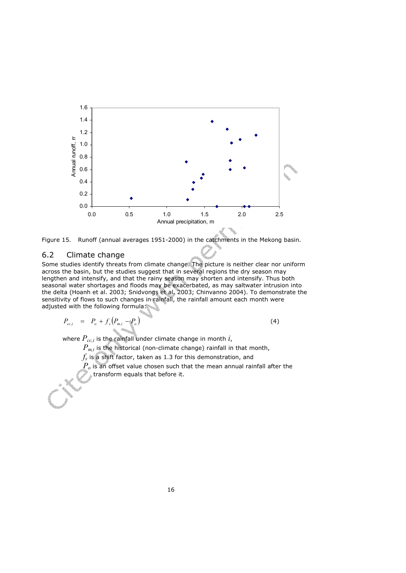



#### 6.2 Climate change

Some studies identify threats from climate change. The picture is neither clear nor uniform across the basin, but the studies suggest that in several regions the dry season may lengthen and intensify, and that the rainy season may shorten and intensify. Thus both seasonal water shortages and floods may be exacerbated, as may saltwater intrusion into the delta (Hoanh et al. 2003; Snidvongs et al. 2003; Chinvanno 2004). To demonstrate the sensitivity of flows to such changes in rainfall, the rainfall amount each month were adjusted with the following formula:

$$
P_{cc,i} = P_o + f_s (P_{m,i} - P_o)
$$
 (4)

where  $P_{cc,i}$  is the rainfall under climate change in month  $i$ ,

 $P_{m,i}$  is the historical (non-climate change) rainfall in that month,

 $f_{\!s}$  is a shift factor, taken as 1.3 for this demonstration, and

*Po* is an offset value chosen such that the mean annual rainfall after the **transform equals that before it.**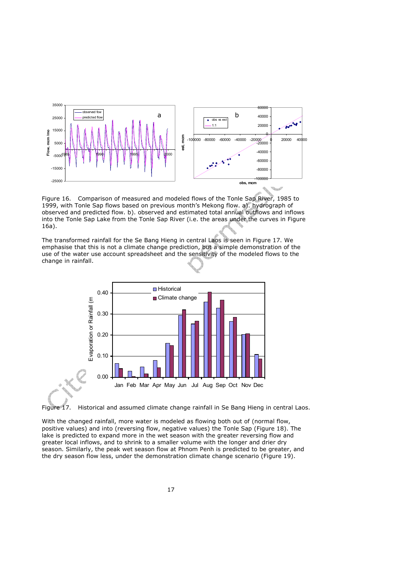

Figure 16. Comparison of measured and modeled flows of the Tonle Sap River, 1985 to 1999, with Tonle Sap flows based on previous month's Mekong flow. a). hydrograph of observed and predicted flow. b). observed and estimated total annual outflows and inflows into the Tonle Sap Lake from the Tonle Sap River (i.e. the areas under the curves in Figure 16a).

The transformed rainfall for the Se Bang Hieng in central Laos is seen in Figure 17. We emphasise that this is not a climate change prediction, but a simple demonstration of the use of the water use account spreadsheet and the sensitivity of the modeled flows to the change in rainfall.



Figure 17. Historical and assumed climate change rainfall in Se Bang Hieng in central Laos.

With the changed rainfall, more water is modeled as flowing both out of (normal flow, positive values) and into (reversing flow, negative values) the Tonle Sap (Figure 18). The lake is predicted to expand more in the wet season with the greater reversing flow and greater local inflows, and to shrink to a smaller volume with the longer and drier dry season. Similarly, the peak wet season flow at Phnom Penh is predicted to be greater, and the dry season flow less, under the demonstration climate change scenario (Figure 19).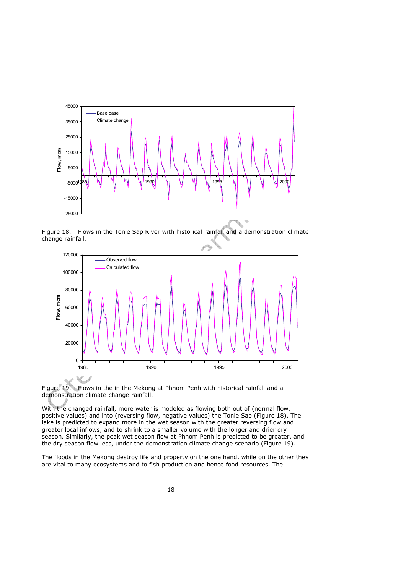

Figure 18. Flows in the Tonle Sap River with historical rainfall and a demonstration climate change rainfall.





With the changed rainfall, more water is modeled as flowing both out of (normal flow, positive values) and into (reversing flow, negative values) the Tonle Sap (Figure 18). The lake is predicted to expand more in the wet season with the greater reversing flow and greater local inflows, and to shrink to a smaller volume with the longer and drier dry season. Similarly, the peak wet season flow at Phnom Penh is predicted to be greater, and the dry season flow less, under the demonstration climate change scenario (Figure 19).

The floods in the Mekong destroy life and property on the one hand, while on the other they are vital to many ecosystems and to fish production and hence food resources. The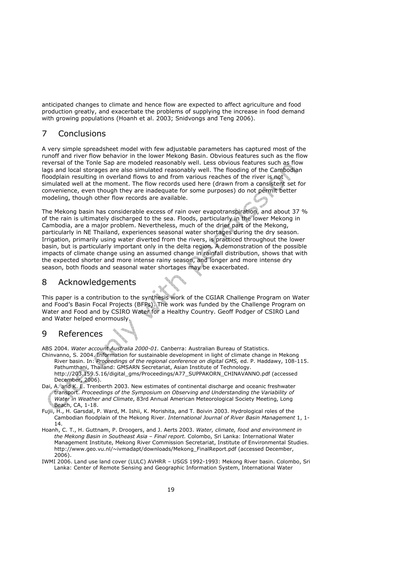anticipated changes to climate and hence flow are expected to affect agriculture and food production greatly, and exacerbate the problems of supplying the increase in food demand with growing populations (Hoanh et al. 2003; Snidvongs and Teng 2006).

## 7 Conclusions

A very simple spreadsheet model with few adjustable parameters has captured most of the runoff and river flow behavior in the lower Mekong Basin. Obvious features such as the flow reversal of the Tonle Sap are modeled reasonably well. Less obvious features such as flow lags and local storages are also simulated reasonably well. The flooding of the Cambodian floodplain resulting in overland flows to and from various reaches of the river is not simulated well at the moment. The flow records used here (drawn from a consistent set for convenience, even though they are inadequate for some purposes) do not permit better modeling, though other flow records are available.

The Mekong basin has considerable excess of rain over evapotranspiration, and about 37 % of the rain is ultimately discharged to the sea. Floods, particularly in the lower Mekong in Cambodia, are a major problem. Nevertheless, much of the drier part of the Mekong, particularly in NE Thailand, experiences seasonal water shortages during the dry season. Irrigation, primarily using water diverted from the rivers, is practiced throughout the lower basin, but is particularly important only in the delta region. A demonstration of the possible impacts of climate change using an assumed change in rainfall distribution, shows that with the expected shorter and more intense rainy season, and longer and more intense dry season, both floods and seasonal water shortages may be exacerbated.

## 8 Acknowledgements

This paper is a contribution to the synthesis work of the CGIAR Challenge Program on Water and Food's Basin Focal Projects (BFPs). The work was funded by the Challenge Program on Water and Food and by CSIRO Water for a Healthy Country. Geoff Podger of CSIRO Land and Water helped enormously.

## 9 References

ABS 2004. *Water account Australia 2000-01.* Canberra: Australian Bureau of Statistics. Chinvanno, S. 2004. Information for sustainable development in light of climate change in Mekong River basin. In: *Proceedings of the regional conference on digital GMS,* ed. P. Haddawy, 108-115. Pathumthani, Thailand: GMSARN Secretariat, Asian Institute of Technology. http://203.159.5.16/digital\_gms/Proceedings/A77\_SUPPAKORN\_CHINAVANNO.pdf (accessed December, 2006).

- Dai, A. and K. E. Trenberth 2003. New estimates of continental discharge and oceanic freshwater transport. *Proceedings of the Symposium on Observing and Understanding the Variability of Water in Weather and Climate*, 83rd Annual American Meteorological Society Meeting, Long Beach, CA, 1-18.
- Fujii, H., H. Garsdal, P. Ward, M. Ishii, K. Morishita, and T. Boivin 2003. Hydrological roles of the Cambodian floodplain of the Mekong River. *International Journal of River Basin Management* 1, 1- 14.
- Hoanh, C. T., H. Guttnam, P. Droogers, and J. Aerts 2003. *Water, climate, food and environment in the Mekong Basin in Southeast Asia – Final report.* Colombo, Sri Lanka: International Water Management Institute, Mekong River Commission Secretariat, Institute of Environmental Studies. http://www.geo.vu.nl/~ivmadapt/downloads/Mekong\_FinalReport.pdf (accessed December, 2006).
- IWMI 2006. Land use land cover (LULC) AVHRR USGS 1992-1993: Mekong River basin. Colombo, Sri Lanka: Center of Remote Sensing and Geographic Information System, International Water